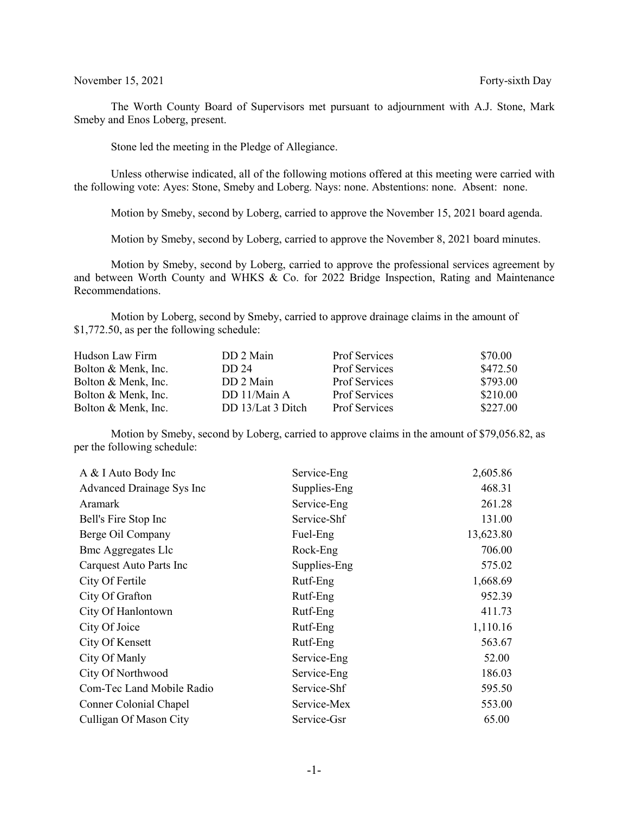November 15, 2021 Forty-sixth Day

The Worth County Board of Supervisors met pursuant to adjournment with A.J. Stone, Mark Smeby and Enos Loberg, present.

Stone led the meeting in the Pledge of Allegiance.

Unless otherwise indicated, all of the following motions offered at this meeting were carried with the following vote: Ayes: Stone, Smeby and Loberg. Nays: none. Abstentions: none. Absent: none.

Motion by Smeby, second by Loberg, carried to approve the November 15, 2021 board agenda.

Motion by Smeby, second by Loberg, carried to approve the November 8, 2021 board minutes.

Motion by Smeby, second by Loberg, carried to approve the professional services agreement by and between Worth County and WHKS & Co. for 2022 Bridge Inspection, Rating and Maintenance Recommendations.

Motion by Loberg, second by Smeby, carried to approve drainage claims in the amount of \$1,772.50, as per the following schedule:

| Hudson Law Firm     | DD 2 Main         | Prof Services        | \$70.00  |
|---------------------|-------------------|----------------------|----------|
| Bolton & Menk, Inc. | DD 24             | <b>Prof Services</b> | \$472.50 |
| Bolton & Menk, Inc. | DD 2 Main         | <b>Prof Services</b> | \$793.00 |
| Bolton & Menk, Inc. | DD 11/Main A      | <b>Prof Services</b> | \$210.00 |
| Bolton & Menk, Inc. | DD 13/Lat 3 Ditch | Prof Services        | \$227.00 |

Motion by Smeby, second by Loberg, carried to approve claims in the amount of \$79,056.82, as per the following schedule:

| A & I Auto Body Inc       | Service-Eng  | 2,605.86  |
|---------------------------|--------------|-----------|
| Advanced Drainage Sys Inc | Supplies-Eng | 468.31    |
| Aramark                   | Service-Eng  | 261.28    |
| Bell's Fire Stop Inc      | Service-Shf  | 131.00    |
| Berge Oil Company         | Fuel-Eng     | 13,623.80 |
| <b>Bmc Aggregates Llc</b> | Rock-Eng     | 706.00    |
| Carquest Auto Parts Inc   | Supplies-Eng | 575.02    |
| City Of Fertile           | Rutf-Eng     | 1,668.69  |
| City Of Grafton           | Rutf-Eng     | 952.39    |
| City Of Hanlontown        | Rutf-Eng     | 411.73    |
| City Of Joice             | Rutf-Eng     | 1,110.16  |
| City Of Kensett           | Rutf-Eng     | 563.67    |
| City Of Manly             | Service-Eng  | 52.00     |
| City Of Northwood         | Service-Eng  | 186.03    |
| Com-Tec Land Mobile Radio | Service-Shf  | 595.50    |
| Conner Colonial Chapel    | Service-Mex  | 553.00    |
| Culligan Of Mason City    | Service-Gsr  | 65.00     |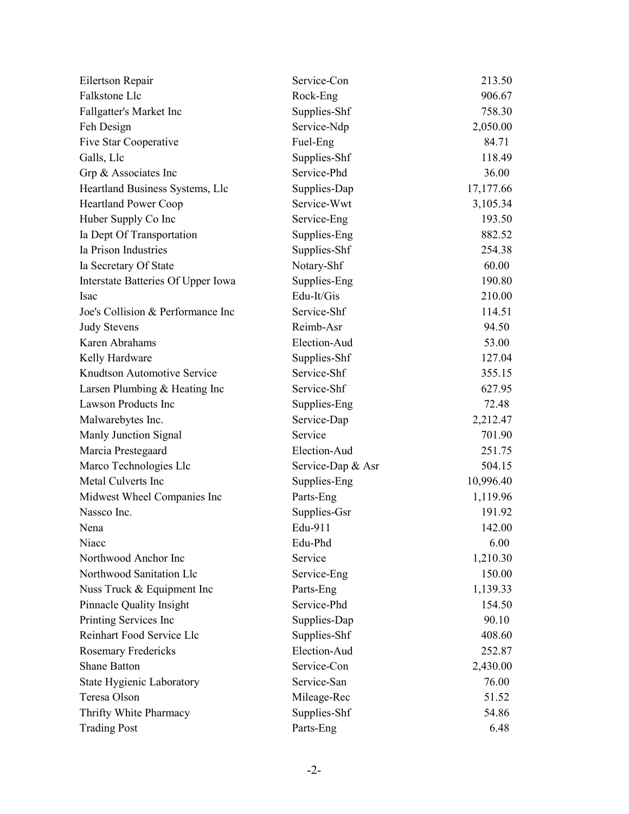| Eilertson Repair                   | Service-Con       | 213.50    |
|------------------------------------|-------------------|-----------|
| Falkstone Llc                      | Rock-Eng          | 906.67    |
| Fallgatter's Market Inc            | Supplies-Shf      | 758.30    |
| Feh Design                         | Service-Ndp       | 2,050.00  |
| Five Star Cooperative              | Fuel-Eng          | 84.71     |
| Galls, Llc                         | Supplies-Shf      | 118.49    |
| Grp & Associates Inc               | Service-Phd       | 36.00     |
| Heartland Business Systems, Llc    | Supplies-Dap      | 17,177.66 |
| <b>Heartland Power Coop</b>        | Service-Wwt       | 3,105.34  |
| Huber Supply Co Inc                | Service-Eng       | 193.50    |
| Ia Dept Of Transportation          | Supplies-Eng      | 882.52    |
| Ia Prison Industries               | Supplies-Shf      | 254.38    |
| Ia Secretary Of State              | Notary-Shf        | 60.00     |
| Interstate Batteries Of Upper Iowa | Supplies-Eng      | 190.80    |
| Isac                               | Edu-It/Gis        | 210.00    |
| Joe's Collision & Performance Inc  | Service-Shf       | 114.51    |
| <b>Judy Stevens</b>                | Reimb-Asr         | 94.50     |
| Karen Abrahams                     | Election-Aud      | 53.00     |
| Kelly Hardware                     | Supplies-Shf      | 127.04    |
| Knudtson Automotive Service        | Service-Shf       | 355.15    |
| Larsen Plumbing & Heating Inc      | Service-Shf       | 627.95    |
| Lawson Products Inc                | Supplies-Eng      | 72.48     |
| Malwarebytes Inc.                  | Service-Dap       | 2,212.47  |
| Manly Junction Signal              | Service           | 701.90    |
| Marcia Prestegaard                 | Election-Aud      | 251.75    |
| Marco Technologies Llc             | Service-Dap & Asr | 504.15    |
| Metal Culverts Inc                 | Supplies-Eng      | 10,996.40 |
| Midwest Wheel Companies Inc        | Parts-Eng         | 1,119.96  |
| Nassco Inc.                        | Supplies-Gsr      | 191.92    |
| Nena                               | Edu-911           | 142.00    |
| Niacc                              | Edu-Phd           | 6.00      |
| Northwood Anchor Inc               | Service           | 1,210.30  |
| Northwood Sanitation Llc           | Service-Eng       | 150.00    |
| Nuss Truck & Equipment Inc         | Parts-Eng         | 1,139.33  |
| Pinnacle Quality Insight           | Service-Phd       | 154.50    |
| Printing Services Inc              | Supplies-Dap      | 90.10     |
| Reinhart Food Service Llc          | Supplies-Shf      | 408.60    |
| Rosemary Fredericks                | Election-Aud      | 252.87    |
| <b>Shane Batton</b>                | Service-Con       | 2,430.00  |
| State Hygienic Laboratory          | Service-San       | 76.00     |
| Teresa Olson                       | Mileage-Rec       | 51.52     |
| Thrifty White Pharmacy             | Supplies-Shf      | 54.86     |
| <b>Trading Post</b>                | Parts-Eng         | 6.48      |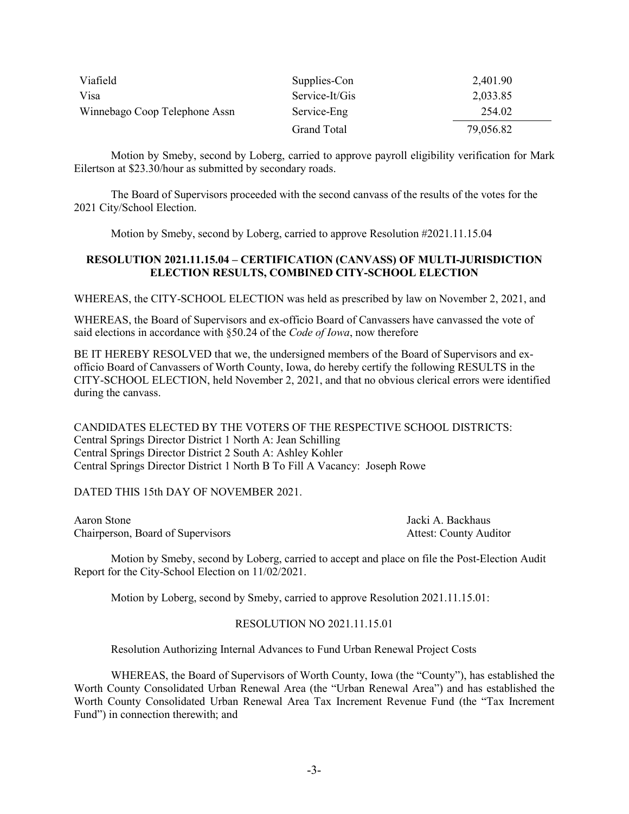| Viafield                      | Supplies-Con   | 2,401.90  |
|-------------------------------|----------------|-----------|
| Visa                          | Service-It/Gis | 2,033.85  |
| Winnebago Coop Telephone Assn | Service-Eng    | 254.02    |
|                               | Grand Total    | 79,056.82 |

Motion by Smeby, second by Loberg, carried to approve payroll eligibility verification for Mark Eilertson at \$23.30/hour as submitted by secondary roads.

The Board of Supervisors proceeded with the second canvass of the results of the votes for the 2021 City/School Election.

Motion by Smeby, second by Loberg, carried to approve Resolution #2021.11.15.04

## **RESOLUTION 2021.11.15.04 – CERTIFICATION (CANVASS) OF MULTI-JURISDICTION ELECTION RESULTS, COMBINED CITY-SCHOOL ELECTION**

WHEREAS, the CITY-SCHOOL ELECTION was held as prescribed by law on November 2, 2021, and

WHEREAS, the Board of Supervisors and ex-officio Board of Canvassers have canvassed the vote of said elections in accordance with §50.24 of the *Code of Iowa*, now therefore

BE IT HEREBY RESOLVED that we, the undersigned members of the Board of Supervisors and exofficio Board of Canvassers of Worth County, Iowa, do hereby certify the following RESULTS in the CITY-SCHOOL ELECTION, held November 2, 2021, and that no obvious clerical errors were identified during the canvass.

CANDIDATES ELECTED BY THE VOTERS OF THE RESPECTIVE SCHOOL DISTRICTS: Central Springs Director District 1 North A: Jean Schilling Central Springs Director District 2 South A: Ashley Kohler Central Springs Director District 1 North B To Fill A Vacancy: Joseph Rowe

DATED THIS 15th DAY OF NOVEMBER 2021.

Aaron Stone Jacki A. Backhaus Chairperson, Board of Supervisors **Attest: County Auditor** Attest: County Auditor

Motion by Smeby, second by Loberg, carried to accept and place on file the Post-Election Audit Report for the City-School Election on 11/02/2021.

Motion by Loberg, second by Smeby, carried to approve Resolution 2021.11.15.01:

## RESOLUTION NO 2021.11.15.01

Resolution Authorizing Internal Advances to Fund Urban Renewal Project Costs

WHEREAS, the Board of Supervisors of Worth County, Iowa (the "County"), has established the Worth County Consolidated Urban Renewal Area (the "Urban Renewal Area") and has established the Worth County Consolidated Urban Renewal Area Tax Increment Revenue Fund (the "Tax Increment Fund") in connection therewith; and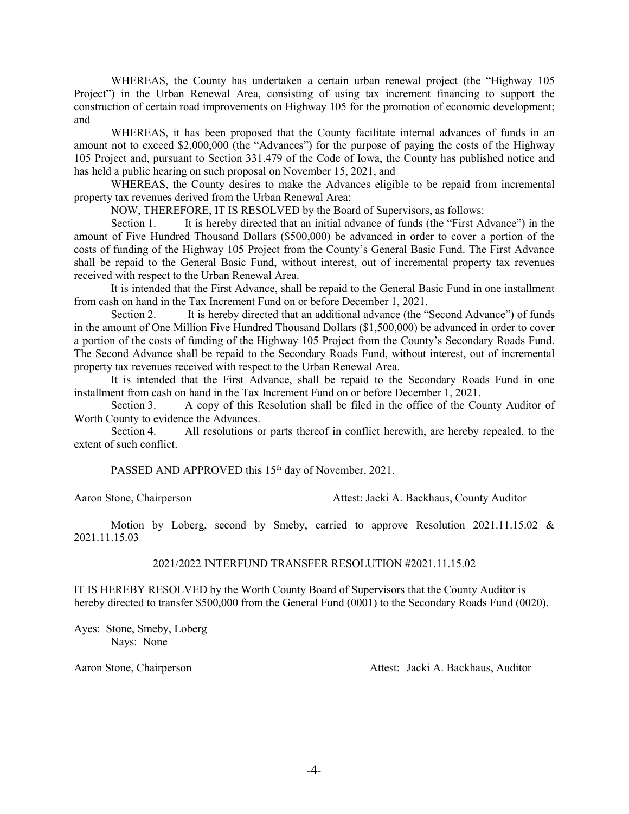WHEREAS, the County has undertaken a certain urban renewal project (the "Highway 105 Project") in the Urban Renewal Area, consisting of using tax increment financing to support the construction of certain road improvements on Highway 105 for the promotion of economic development; and

WHEREAS, it has been proposed that the County facilitate internal advances of funds in an amount not to exceed \$2,000,000 (the "Advances") for the purpose of paying the costs of the Highway 105 Project and, pursuant to Section 331.479 of the Code of Iowa, the County has published notice and has held a public hearing on such proposal on November 15, 2021, and

WHEREAS, the County desires to make the Advances eligible to be repaid from incremental property tax revenues derived from the Urban Renewal Area;

NOW, THEREFORE, IT IS RESOLVED by the Board of Supervisors, as follows:

Section 1. It is hereby directed that an initial advance of funds (the "First Advance") in the amount of Five Hundred Thousand Dollars (\$500,000) be advanced in order to cover a portion of the costs of funding of the Highway 105 Project from the County's General Basic Fund. The First Advance shall be repaid to the General Basic Fund, without interest, out of incremental property tax revenues received with respect to the Urban Renewal Area.

It is intended that the First Advance, shall be repaid to the General Basic Fund in one installment from cash on hand in the Tax Increment Fund on or before December 1, 2021.

Section 2. It is hereby directed that an additional advance (the "Second Advance") of funds in the amount of One Million Five Hundred Thousand Dollars (\$1,500,000) be advanced in order to cover a portion of the costs of funding of the Highway 105 Project from the County's Secondary Roads Fund. The Second Advance shall be repaid to the Secondary Roads Fund, without interest, out of incremental property tax revenues received with respect to the Urban Renewal Area.

It is intended that the First Advance, shall be repaid to the Secondary Roads Fund in one installment from cash on hand in the Tax Increment Fund on or before December 1, 2021.

Section 3. A copy of this Resolution shall be filed in the office of the County Auditor of Worth County to evidence the Advances.

Section 4. All resolutions or parts thereof in conflict herewith, are hereby repealed, to the extent of such conflict.

PASSED AND APPROVED this 15<sup>th</sup> day of November, 2021.

Aaron Stone, Chairperson Attest: Jacki A. Backhaus, County Auditor

Motion by Loberg, second by Smeby, carried to approve Resolution 2021.11.15.02 & 2021.11.15.03

## 2021/2022 INTERFUND TRANSFER RESOLUTION #2021.11.15.02

IT IS HEREBY RESOLVED by the Worth County Board of Supervisors that the County Auditor is hereby directed to transfer \$500,000 from the General Fund (0001) to the Secondary Roads Fund (0020).

Ayes: Stone, Smeby, Loberg Nays: None

Aaron Stone, Chairperson **Attest:** Jacki A. Backhaus, Auditor